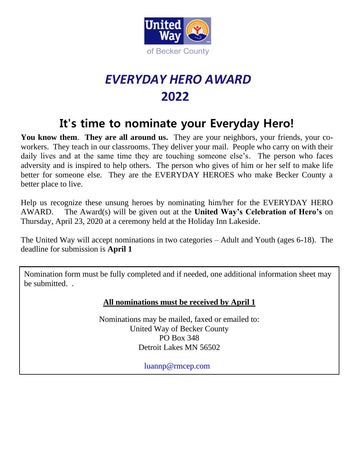

## *EVERYDAY HERO AWARD*  **2022**

## **It's time to nominate your Everyday Hero!**

You know them. They are all around us. They are your neighbors, your friends, your coworkers. They teach in our classrooms. They deliver your mail. People who carry on with their daily lives and at the same time they are touching someone else's. The person who faces adversity and is inspired to help others. The person who gives of him or her self to make life better for someone else. They are the EVERYDAY HEROES who make Becker County a better place to live.

Help us recognize these unsung heroes by nominating him/her for the EVERYDAY HERO AWARD. The Award(s) will be given out at the **United Way's Celebration of Hero's** on Thursday, April 23, 2020 at a ceremony held at the Holiday Inn Lakeside.

The United Way will accept nominations in two categories – Adult and Youth (ages 6-18). The deadline for submission is **April 1**

 $\overline{a}$ Nomination form must be fully completed and if needed, one additional information sheet may be submitted. .

## **All nominations must be received by April 1**

Nominations may be mailed, faxed or emailed to: United Way of Becker County PO Box 348 Detroit Lakes MN 56502

[luannp@rmcep.com](mailto:luannp@rmcep.com)